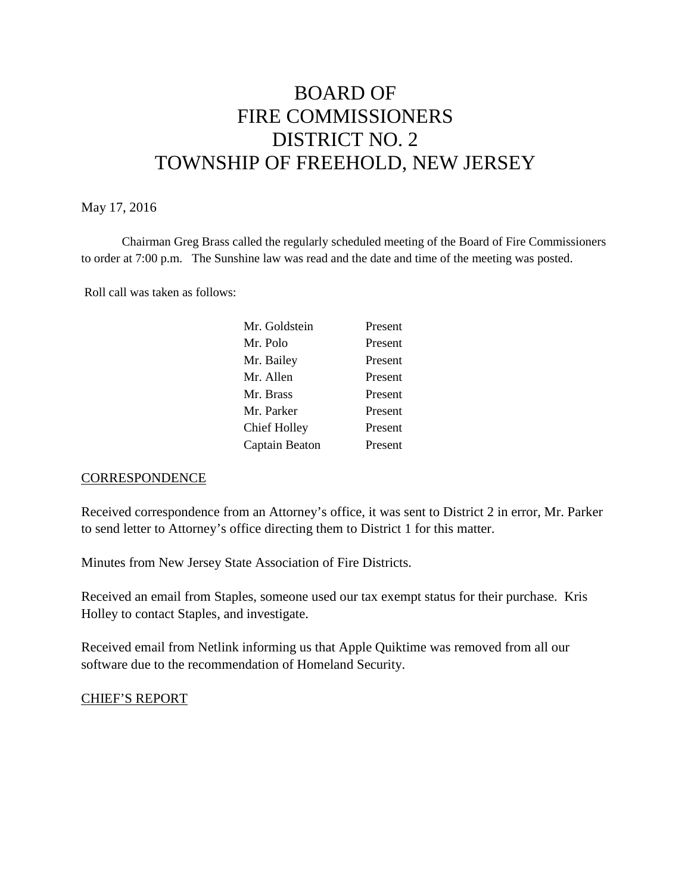# BOARD OF FIRE COMMISSIONERS DISTRICT NO. 2 TOWNSHIP OF FREEHOLD, NEW JERSEY

#### May 17, 2016

Chairman Greg Brass called the regularly scheduled meeting of the Board of Fire Commissioners to order at 7:00 p.m. The Sunshine law was read and the date and time of the meeting was posted.

Roll call was taken as follows:

| Mr. Goldstein       | Present |
|---------------------|---------|
| Mr. Polo            | Present |
| Mr. Bailey          | Present |
| Mr. Allen           | Present |
| Mr. Brass           | Present |
| Mr. Parker          | Present |
| <b>Chief Holley</b> | Present |
| Captain Beaton      | Present |

#### **CORRESPONDENCE**

Received correspondence from an Attorney's office, it was sent to District 2 in error, Mr. Parker to send letter to Attorney's office directing them to District 1 for this matter.

Minutes from New Jersey State Association of Fire Districts.

Received an email from Staples, someone used our tax exempt status for their purchase. Kris Holley to contact Staples, and investigate.

Received email from Netlink informing us that Apple Quiktime was removed from all our software due to the recommendation of Homeland Security.

## CHIEF'S REPORT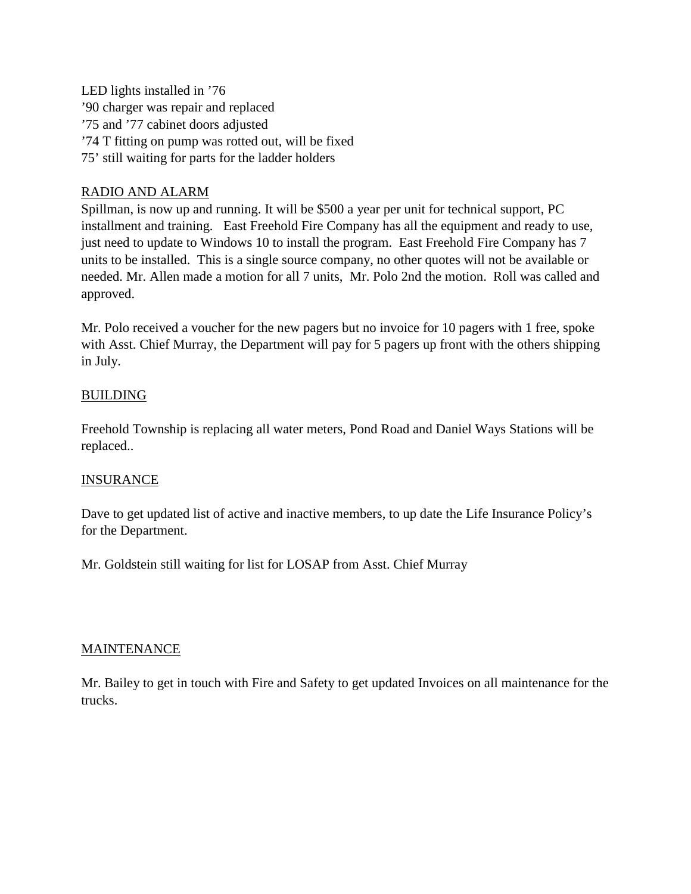LED lights installed in  $'76$ '90 charger was repair and replaced '75 and '77 cabinet doors adjusted '74 T fitting on pump was rotted out, will be fixed 75' still waiting for parts for the ladder holders

## RADIO AND ALARM

Spillman, is now up and running. It will be \$500 a year per unit for technical support, PC installment and training. East Freehold Fire Company has all the equipment and ready to use, just need to update to Windows 10 to install the program. East Freehold Fire Company has 7 units to be installed. This is a single source company, no other quotes will not be available or needed. Mr. Allen made a motion for all 7 units, Mr. Polo 2nd the motion. Roll was called and approved.

Mr. Polo received a voucher for the new pagers but no invoice for 10 pagers with 1 free, spoke with Asst. Chief Murray, the Department will pay for 5 pagers up front with the others shipping in July.

## **BUILDING**

Freehold Township is replacing all water meters, Pond Road and Daniel Ways Stations will be replaced..

## **INSURANCE**

Dave to get updated list of active and inactive members, to up date the Life Insurance Policy's for the Department.

Mr. Goldstein still waiting for list for LOSAP from Asst. Chief Murray

## **MAINTENANCE**

Mr. Bailey to get in touch with Fire and Safety to get updated Invoices on all maintenance for the trucks.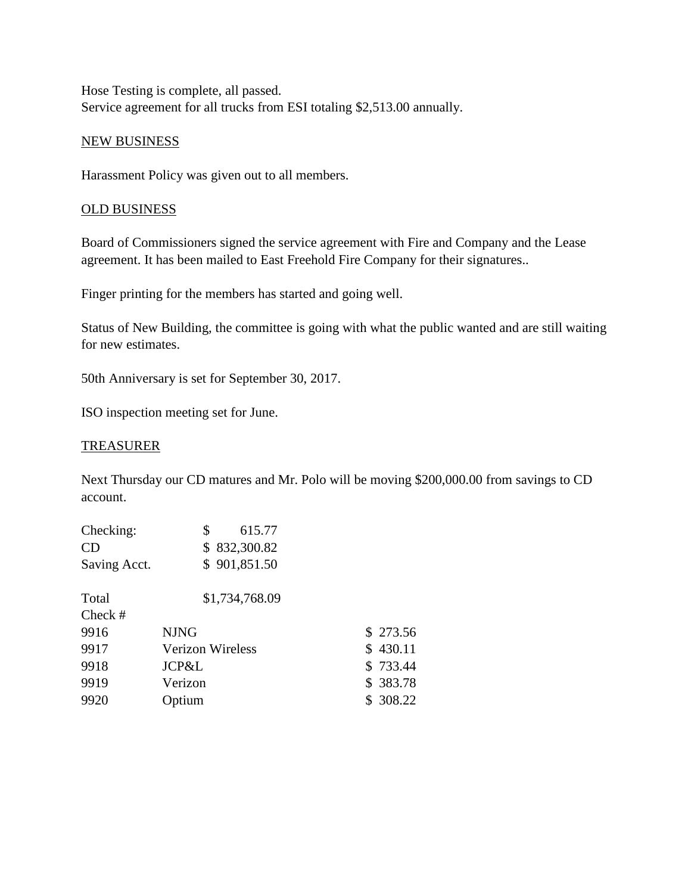Hose Testing is complete, all passed. Service agreement for all trucks from ESI totaling \$2,513.00 annually.

#### NEW BUSINESS

Harassment Policy was given out to all members.

## OLD BUSINESS

Board of Commissioners signed the service agreement with Fire and Company and the Lease agreement. It has been mailed to East Freehold Fire Company for their signatures..

Finger printing for the members has started and going well.

Status of New Building, the committee is going with what the public wanted and are still waiting for new estimates.

50th Anniversary is set for September 30, 2017.

ISO inspection meeting set for June.

#### TREASURER

Next Thursday our CD matures and Mr. Polo will be moving \$200,000.00 from savings to CD account.

| Checking:    | \$<br>615.77     |           |
|--------------|------------------|-----------|
| <b>CD</b>    | \$832,300.82     |           |
| Saving Acct. | \$901,851.50     |           |
| Total        | \$1,734,768.09   |           |
| Check $#$    |                  |           |
| 9916         | <b>NJNG</b>      | \$273.56  |
| 9917         | Verizon Wireless | \$430.11  |
| 9918         | JCP&L            | \$733.44  |
| 9919         | Verizon          | \$383.78  |
| 9920         | <b>Jptium</b>    | \$ 308.22 |